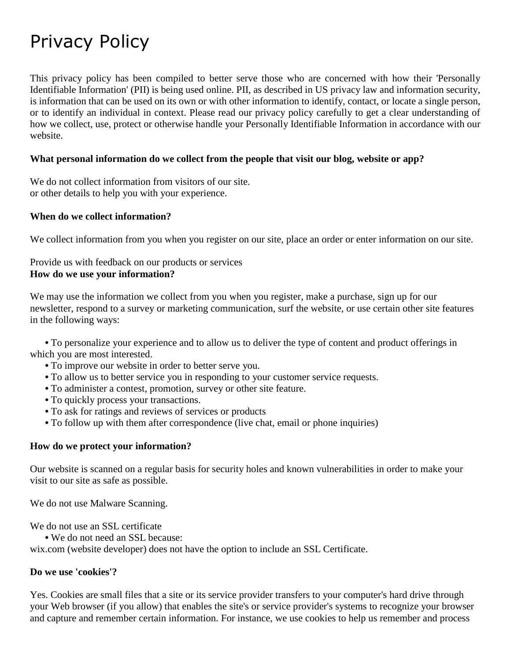# Privacy Policy

This privacy policy has been compiled to better serve those who are concerned with how their 'Personally Identifiable Information' (PII) is being used online. PII, as described in US privacy law and information security, is information that can be used on its own or with other information to identify, contact, or locate a single person, or to identify an individual in context. Please read our privacy policy carefully to get a clear understanding of how we collect, use, protect or otherwise handle your Personally Identifiable Information in accordance with our website.

## **What personal information do we collect from the people that visit our blog, website or app?**

We do not collect information from visitors of our site. or other details to help you with your experience.

#### **When do we collect information?**

We collect information from you when you register on our site, place an order or enter information on our site.

Provide us with feedback on our products or services **How do we use your information?**

We may use the information we collect from you when you register, make a purchase, sign up for our newsletter, respond to a survey or marketing communication, surf the website, or use certain other site features in the following ways:

 **•** To personalize your experience and to allow us to deliver the type of content and product offerings in which you are most interested.

- **•** To improve our website in order to better serve you.
- **•** To allow us to better service you in responding to your customer service requests.
- **•** To administer a contest, promotion, survey or other site feature.
- **•** To quickly process your transactions.
- **•** To ask for ratings and reviews of services or products
- **•** To follow up with them after correspondence (live chat, email or phone inquiries)

#### **How do we protect your information?**

Our website is scanned on a regular basis for security holes and known vulnerabilities in order to make your visit to our site as safe as possible.

We do not use Malware Scanning.

We do not use an SSL certificate

**•** We do not need an SSL because:

wix.com (website developer) does not have the option to include an SSL Certificate.

#### **Do we use 'cookies'?**

Yes. Cookies are small files that a site or its service provider transfers to your computer's hard drive through your Web browser (if you allow) that enables the site's or service provider's systems to recognize your browser and capture and remember certain information. For instance, we use cookies to help us remember and process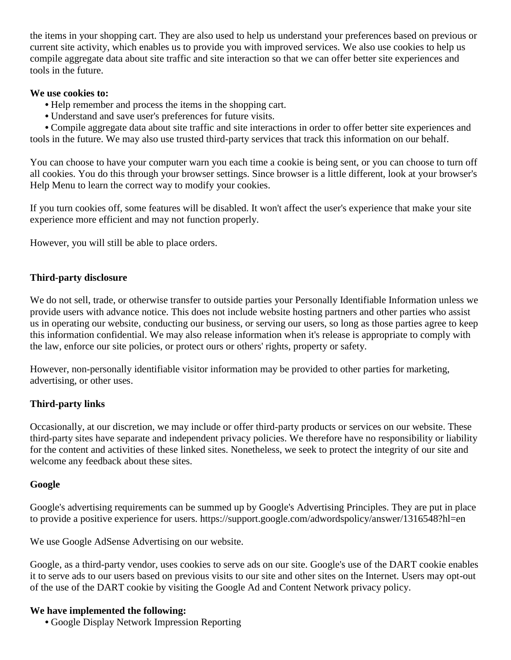the items in your shopping cart. They are also used to help us understand your preferences based on previous or current site activity, which enables us to provide you with improved services. We also use cookies to help us compile aggregate data about site traffic and site interaction so that we can offer better site experiences and tools in the future.

## **We use cookies to:**

- **•** Help remember and process the items in the shopping cart.
- **•** Understand and save user's preferences for future visits.

 **•** Compile aggregate data about site traffic and site interactions in order to offer better site experiences and tools in the future. We may also use trusted third-party services that track this information on our behalf.

You can choose to have your computer warn you each time a cookie is being sent, or you can choose to turn off all cookies. You do this through your browser settings. Since browser is a little different, look at your browser's Help Menu to learn the correct way to modify your cookies.

If you turn cookies off, some features will be disabled. It won't affect the user's experience that make your site experience more efficient and may not function properly.

However, you will still be able to place orders.

# **Third-party disclosure**

We do not sell, trade, or otherwise transfer to outside parties your Personally Identifiable Information unless we provide users with advance notice. This does not include website hosting partners and other parties who assist us in operating our website, conducting our business, or serving our users, so long as those parties agree to keep this information confidential. We may also release information when it's release is appropriate to comply with the law, enforce our site policies, or protect ours or others' rights, property or safety.

However, non-personally identifiable visitor information may be provided to other parties for marketing, advertising, or other uses.

# **Third-party links**

Occasionally, at our discretion, we may include or offer third-party products or services on our website. These third-party sites have separate and independent privacy policies. We therefore have no responsibility or liability for the content and activities of these linked sites. Nonetheless, we seek to protect the integrity of our site and welcome any feedback about these sites.

# **Google**

Google's advertising requirements can be summed up by Google's Advertising Principles. They are put in place to provide a positive experience for users. https://support.google.com/adwordspolicy/answer/1316548?hl=en

We use Google AdSense Advertising on our website.

Google, as a third-party vendor, uses cookies to serve ads on our site. Google's use of the DART cookie enables it to serve ads to our users based on previous visits to our site and other sites on the Internet. Users may opt-out of the use of the DART cookie by visiting the Google Ad and Content Network privacy policy.

# **We have implemented the following:**

**•** Google Display Network Impression Reporting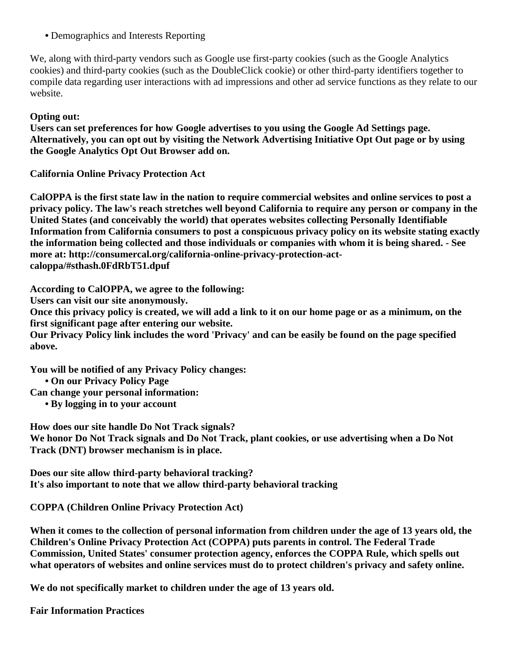**•** Demographics and Interests Reporting

We, along with third-party vendors such as Google use first-party cookies (such as the Google Analytics cookies) and third-party cookies (such as the DoubleClick cookie) or other third-party identifiers together to compile data regarding user interactions with ad impressions and other ad service functions as they relate to our website.

# **Opting out:**

**Users can set preferences for how Google advertises to you using the Google Ad Settings page. Alternatively, you can opt out by visiting the Network Advertising Initiative Opt Out page or by using the Google Analytics Opt Out Browser add on.**

**California Online Privacy Protection Act**

**CalOPPA is the first state law in the nation to require commercial websites and online services to post a privacy policy. The law's reach stretches well beyond California to require any person or company in the United States (and conceivably the world) that operates websites collecting Personally Identifiable Information from California consumers to post a conspicuous privacy policy on its website stating exactly the information being collected and those individuals or companies with whom it is being shared. - See more at: http://consumercal.org/california-online-privacy-protection-actcaloppa/#sthash.0FdRbT51.dpuf**

**According to CalOPPA, we agree to the following:**

**Users can visit our site anonymously.**

**Once this privacy policy is created, we will add a link to it on our home page or as a minimum, on the first significant page after entering our website.**

**Our Privacy Policy link includes the word 'Privacy' and can be easily be found on the page specified above.**

**You will be notified of any Privacy Policy changes:**

 **• On our Privacy Policy Page**

**Can change your personal information:**

 **• By logging in to your account**

**How does our site handle Do Not Track signals?**

**We honor Do Not Track signals and Do Not Track, plant cookies, or use advertising when a Do Not Track (DNT) browser mechanism is in place.**

**Does our site allow third-party behavioral tracking? It's also important to note that we allow third-party behavioral tracking**

# **COPPA (Children Online Privacy Protection Act)**

**When it comes to the collection of personal information from children under the age of 13 years old, the Children's Online Privacy Protection Act (COPPA) puts parents in control. The Federal Trade Commission, United States' consumer protection agency, enforces the COPPA Rule, which spells out what operators of websites and online services must do to protect children's privacy and safety online.**

**We do not specifically market to children under the age of 13 years old.**

**Fair Information Practices**